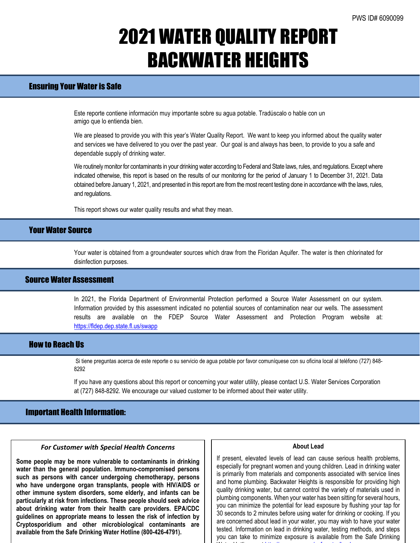# 2021 WATER QUALITY REPORT BACKWATER HEIGHTS

## Ensuring Your Water is Safe

Este reporte contiene información muy importante sobre su agua potable. Tradúscalo o hable con un amigo que lo entienda bien.

We are pleased to provide you with this year's Water Quality Report. We want to keep you informed about the quality water and services we have delivered to you over the past year. Our goal is and always has been, to provide to you a safe and dependable supply of drinking water.

We routinely monitor for contaminants in your drinking water according to Federal and State laws, rules, and regulations. Except where indicated otherwise, this report is based on the results of our monitoring for the period of January 1 to December 31, 2021. Data obtained before January 1, 2021, and presented in this report are from the most recent testing done in accordance with the laws, rules, and regulations.

This report shows our water quality results and what they mean.

### Your Water Source

Your water is obtained from a groundwater sources which draw from the Floridan Aquifer. The water is then chlorinated for disinfection purposes.

## Source Water Assessment

In 2021, the Florida Department of Environmental Protection performed a Source Water Assessment on our system. Information provided by this assessment indicated no potential sources of contamination near our wells. The assessment results are available on the FDEP Source Water Assessment and Protection Program website at: <https://fldep.dep.state.fl.us/swapp>

### How to Reach Us

Si tiene preguntas acerca de este reporte o su servicio de agua potable por favor comuníquese con su oficina local al teléfono (727) 848- 8292

If you have any questions about this report or concerning your water utility, please contact U.S. Water Services Corporation at (727) 848-8292. We encourage our valued customer to be informed about their water utility.

### Important Health Information:

#### *For Customer with Special Health Concerns*

**Some people may be more vulnerable to contaminants in drinking water than the general population. Immuno-compromised persons such as persons with cancer undergoing chemotherapy, persons who have undergone organ transplants, people with HIV/AIDS or other immune system disorders, some elderly, and infants can be particularly at risk from infections. These people should seek advice about drinking water from their health care providers. EPA/CDC guidelines on appropriate means to lessen the risk of infection by Cryptosporidium and other microbiological contaminants are available from the Safe Drinking Water Hotline (800-426-4791).**

### **About Lead**

If present, elevated levels of lead can cause serious health problems, especially for pregnant women and young children. Lead in drinking water is primarily from materials and components associated with service lines and home plumbing. Backwater Heights is responsible for providing high quality drinking water, but cannot control the variety of materials used in plumbing components. When your water has been sitting for several hours, you can minimize the potential for lead exposure by flushing your tap for 30 seconds to 2 minutes before using water for drinking or cooking. If you are concerned about lead in your water, you may wish to have your water tested. Information on lead in drinking water, testing methods, and steps you can take to minimize exposure is available from the Safe Drinking wa to the first line of the first line of the first line of the first line of the first line of the first line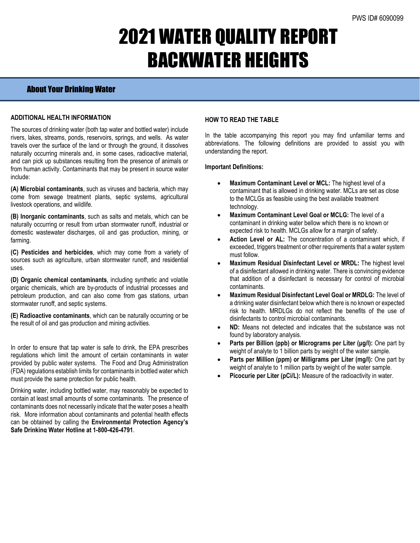# 2021 WATER QUALITY REPORT BACKWATER HEIGHTS

## About Your Drinking Water

### **ADDITIONAL HEALTH INFORMATION**

The sources of drinking water (both tap water and bottled water) include rivers, lakes, streams, ponds, reservoirs, springs, and wells. As water travels over the surface of the land or through the ground, it dissolves naturally occurring minerals and, in some cases, radioactive material, and can pick up substances resulting from the presence of animals or from human activity. Contaminants that may be present in source water include:

**(A) Microbial contaminants**, such as viruses and bacteria, which may come from sewage treatment plants, septic systems, agricultural livestock operations, and wildlife.

**(B) Inorganic contaminants**, such as salts and metals, which can be naturally occurring or result from urban stormwater runoff, industrial or domestic wastewater discharges, oil and gas production, mining, or farming.

**(C) Pesticides and herbicides**, which may come from a variety of sources such as agriculture, urban stormwater runoff, and residential uses.

**(D) Organic chemical contaminants**, including synthetic and volatile organic chemicals, which are by-products of industrial processes and petroleum production, and can also come from gas stations, urban stormwater runoff, and septic systems.

**(E) Radioactive contaminants**, which can be naturally occurring or be the result of oil and gas production and mining activities.

In order to ensure that tap water is safe to drink, the EPA prescribes regulations which limit the amount of certain contaminants in water provided by public water systems. The Food and Drug Administration (FDA) regulations establish limits for contaminants in bottled water which must provide the same protection for public health.

Drinking water, including bottled water, may reasonably be expected to contain at least small amounts of some contaminants. The presence of contaminants does not necessarily indicate that the water poses a health risk. More information about contaminants and potential health effects can be obtained by calling the **Environmental Protection Agency's Safe Drinking Water Hotline at 1-800-426-4791**.

### **HOW TO READ THE TABLE**

In the table accompanying this report you may find unfamiliar terms and abbreviations. The following definitions are provided to assist you with understanding the report.

#### **Important Definitions:**

- **Maximum Contaminant Level or MCL:** The highest level of a contaminant that is allowed in drinking water. MCLs are set as close to the MCLGs as feasible using the best available treatment technology.
- **Maximum Contaminant Level Goal or MCLG:** The level of a contaminant in drinking water bellow which there is no known or expected risk to health. MCLGs allow for a margin of safety.
- Action Level or AL: The concentration of a contaminant which, if exceeded, triggers treatment or other requirements that a water system must follow.
- **Maximum Residual Disinfectant Level or MRDL:** The highest level of a disinfectant allowed in drinking water. There is convincing evidence that addition of a disinfectant is necessary for control of microbial contaminants.
- **Maximum Residual Disinfectant Level Goal or MRDLG:** The level of a drinking water disinfectant below which there is no known or expected risk to health. MRDLGs do not reflect the benefits of the use of disinfectants to control microbial contaminants.
- **ND:** Means not detected and indicates that the substance was not found by laboratory analysis.
- **Parts per Billion (ppb) or Micrograms per Liter (μg/l):** One part by weight of analyte to 1 billion parts by weight of the water sample.
- **Parts per Million (ppm) or Milligrams per Liter (mg/l):** One part by weight of analyte to 1 million parts by weight of the water sample.
- **Picocurie per Liter (pCi/L):** Measure of the radioactivity in water.